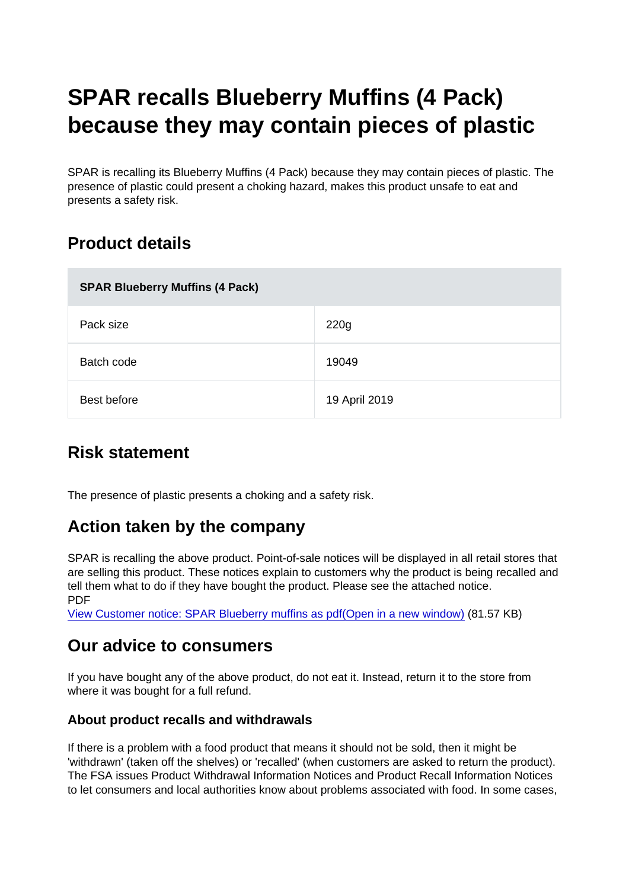# SPAR recalls Blueberry Muffins (4 Pack) because they may contain pieces of plastic

SPAR is recalling its Blueberry Muffins (4 Pack) because they may contain pieces of plastic. The presence of plastic could present a choking hazard, makes this product unsafe to eat and presents a safety risk.

## Product details

| SPAR Blueberry Muffins (4 Pack) |               |
|---------------------------------|---------------|
| Pack size                       | 220g          |
| Batch code                      | 19049         |
| Best before                     | 19 April 2019 |

### Risk statement

The presence of plastic presents a choking and a safety risk.

### Action taken by the company

SPAR is recalling the above product. Point-of-sale notices will be displayed in all retail stores that are selling this product. These notices explain to customers why the product is being recalled and tell them what to do if they have bought the product. Please see the attached notice. PDF

[View Customer notice: SPAR Blueberry muffins as pdf\(Open in a new window\)](https://s3-eu-west-1.amazonaws.com/fsa-alerts-files/production/FSA-PRIN-11-2019/Customer-notice-SPAR-Blueberry-muffins.pdf) (81.57 KB)

#### Our advice to consumers

If you have bought any of the above product, do not eat it. Instead, return it to the store from where it was bought for a full refund.

#### About product recalls and withdrawals

If there is a problem with a food product that means it should not be sold, then it might be 'withdrawn' (taken off the shelves) or 'recalled' (when customers are asked to return the product). The FSA issues Product Withdrawal Information Notices and Product Recall Information Notices to let consumers and local authorities know about problems associated with food. In some cases,